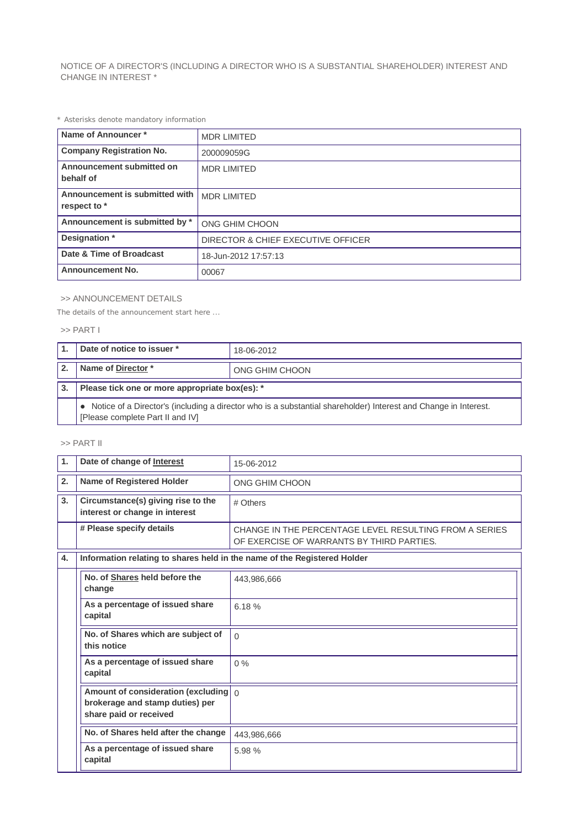NOTICE OF A DIRECTOR'S (INCLUDING A DIRECTOR WHO IS A SUBSTANTIAL SHAREHOLDER) INTEREST AND CHANGE IN INTEREST \*

*\* Asterisks denote mandatory information*

| Name of Announcer*                             | <b>MDR LIMITED</b>                 |  |
|------------------------------------------------|------------------------------------|--|
| <b>Company Registration No.</b>                | 200009059G                         |  |
| Announcement submitted on<br>behalf of         | <b>MDR LIMITED</b>                 |  |
| Announcement is submitted with<br>respect to * | <b>MDR LIMITED</b>                 |  |
| Announcement is submitted by *                 | ONG GHIM CHOON                     |  |
| Designation *                                  | DIRECTOR & CHIEF EXECUTIVE OFFICER |  |
| Date & Time of Broadcast                       | 18-Jun-2012 17:57:13               |  |
| <b>Announcement No.</b>                        | 00067                              |  |

## >> ANNOUNCEMENT DETAILS

*The details of the announcement start here ...*

## >> PART I

| Date of notice to issuer *                                                                                                                          | 18-06-2012     |  |
|-----------------------------------------------------------------------------------------------------------------------------------------------------|----------------|--|
| Name of Director*                                                                                                                                   | ONG GHIM CHOON |  |
| Please tick one or more appropriate box(es): *                                                                                                      |                |  |
| Notice of a Director's (including a director who is a substantial shareholder) Interest and Change in Interest.<br>[Please complete Part II and IV] |                |  |

## >> PART II

| $\mathbf{1}$ | Date of change of Interest                                                                                 | 15-06-2012                                                                                          |  |  |
|--------------|------------------------------------------------------------------------------------------------------------|-----------------------------------------------------------------------------------------------------|--|--|
| 2.           | <b>Name of Registered Holder</b>                                                                           | ONG GHIM CHOON                                                                                      |  |  |
| 3.           | Circumstance(s) giving rise to the<br>interest or change in interest                                       | # Others                                                                                            |  |  |
|              | # Please specify details                                                                                   | CHANGE IN THE PERCENTAGE LEVEL RESULTING FROM A SERIES<br>OF EXERCISE OF WARRANTS BY THIRD PARTIES. |  |  |
| 4.           | Information relating to shares held in the name of the Registered Holder                                   |                                                                                                     |  |  |
|              | No. of Shares held before the<br>change                                                                    | 443,986,666                                                                                         |  |  |
|              | As a percentage of issued share<br>capital                                                                 | 6.18%                                                                                               |  |  |
|              | No. of Shares which are subject of<br>this notice                                                          | $\Omega$                                                                                            |  |  |
|              | As a percentage of issued share<br>capital                                                                 | $0\%$                                                                                               |  |  |
|              | Amount of consideration (excluding $\int_0^1$<br>brokerage and stamp duties) per<br>share paid or received |                                                                                                     |  |  |
|              | No. of Shares held after the change                                                                        | 443,986,666                                                                                         |  |  |
|              | As a percentage of issued share<br>capital                                                                 | 5.98%                                                                                               |  |  |